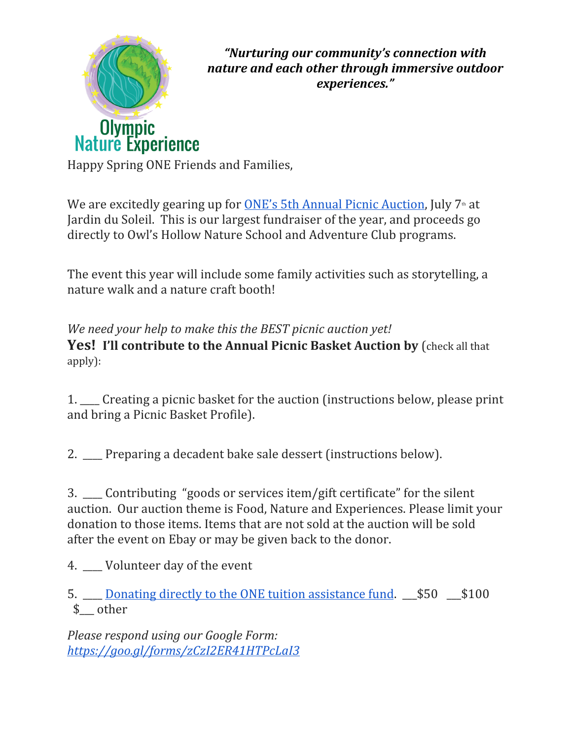

*"Nurturing our community's connection with nature and each other through immersive outdoor experiences."*

Happy Spring ONE Friends and Families,

We are excitedly gearing up for **ONE's 5th Annual Picnic [Auction](https://www.olympicnatureexperience.org/events/)**, July  $7<sup>th</sup>$  at Jardin du Soleil. This is our largest fundraiser of the year, and proceeds go directly to Owl's Hollow Nature School and Adventure Club programs.

The event this year will include some family activities such as storytelling, a nature walk and a nature craft booth!

*We need your help to make this the BEST picnic auction yet!* **Yes! I'll contribute to the Annual Picnic Basket Auction by** (check all that apply):

1. \_\_\_\_ Creating a picnic basket for the auction (instructions below, please print and bring a Picnic Basket Profile).

2. \_\_\_\_ Preparing a decadent bake sale dessert (instructions below).

3. Contributing "goods or services item/gift certificate" for the silent auction. Our auction theme is Food, Nature and Experiences. Please limit your donation to those items. Items that are not sold at the auction will be sold after the event on Ebay or may be given back to the donor.

4. Volunteer day of the event

5. \_\_\_\_ Donating directly to the ONE tuition [assistance](https://www.olympicnatureexperience.org/donate/) fund. \_\_\_\$50 \_\_\_\$100 \$\_\_\_ other

*Please respond using our Google Form: <https://goo.gl/forms/zCzI2ER41HTPcLaI3>*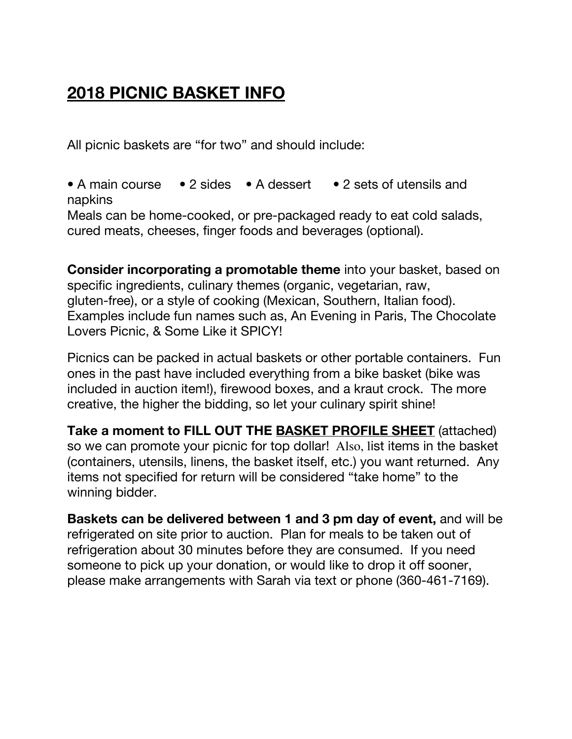## **2018 PICNIC BASKET INFO**

All picnic baskets are "for two" and should include:

• A main course • 2 sides • A dessert • 2 sets of utensils and napkins Meals can be home-cooked, or pre-packaged ready to eat cold salads, cured meats, cheeses, finger foods and beverages (optional).

**Consider incorporating a promotable theme** into your basket, based on specific ingredients, culinary themes (organic, vegetarian, raw, gluten-free), or a style of cooking (Mexican, Southern, Italian food). Examples include fun names such as, An Evening in Paris, The Chocolate Lovers Picnic, & Some Like it SPICY!

Picnics can be packed in actual baskets or other portable containers. Fun ones in the past have included everything from a bike basket (bike was included in auction item!), firewood boxes, and a kraut crock. The more creative, the higher the bidding, so let your culinary spirit shine!

**Take a moment to FILL OUT THE BASKET PROFILE SHEET** (attached) so we can promote your picnic for top dollar! Also, list items in the basket (containers, utensils, linens, the basket itself, etc.) you want returned. Any items not specified for return will be considered "take home" to the winning bidder.

**Baskets can be delivered between 1 and 3 pm day of event,** and will be refrigerated on site prior to auction. Plan for meals to be taken out of refrigeration about 30 minutes before they are consumed. If you need someone to pick up your donation, or would like to drop it off sooner, please make arrangements with Sarah via text or phone (360-461-7169).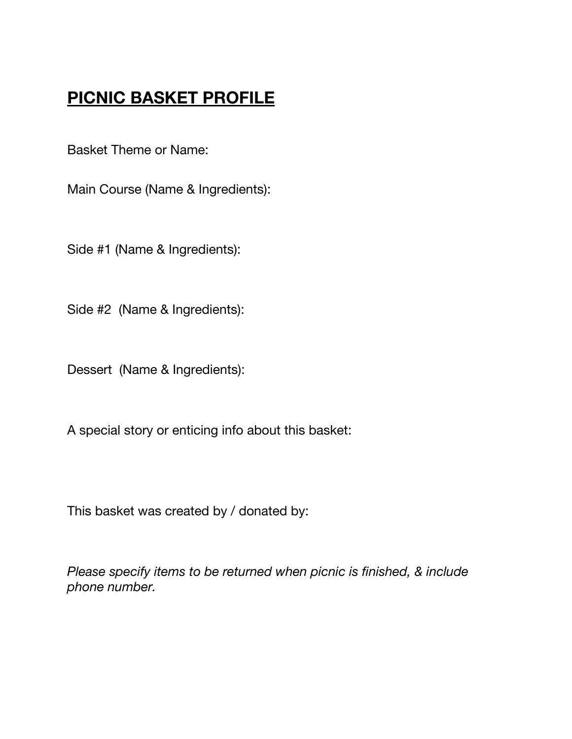## **PICNIC BASKET PROFILE**

Basket Theme or Name:

Main Course (Name & Ingredients):

Side #1 (Name & Ingredients):

Side #2 (Name & Ingredients):

Dessert (Name & Ingredients):

A special story or enticing info about this basket:

This basket was created by / donated by:

*Please specify items to be returned when picnic is finished, & include phone number.*